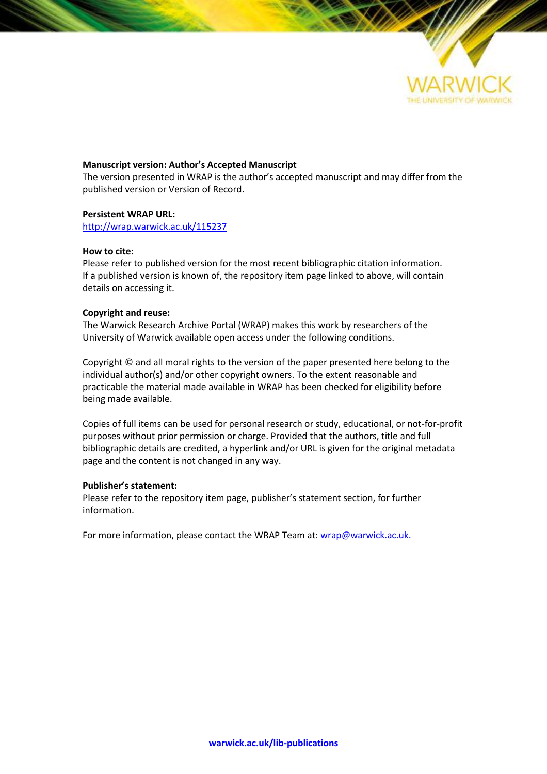

### **Manuscript version: Author's Accepted Manuscript**

The version presented in WRAP is the author's accepted manuscript and may differ from the published version or Version of Record.

#### **Persistent WRAP URL:**

<http://wrap.warwick.ac.uk/115237>

#### **How to cite:**

Please refer to published version for the most recent bibliographic citation information. If a published version is known of, the repository item page linked to above, will contain details on accessing it.

#### **Copyright and reuse:**

The Warwick Research Archive Portal (WRAP) makes this work by researchers of the University of Warwick available open access under the following conditions.

Copyright © and all moral rights to the version of the paper presented here belong to the individual author(s) and/or other copyright owners. To the extent reasonable and practicable the material made available in WRAP has been checked for eligibility before being made available.

Copies of full items can be used for personal research or study, educational, or not-for-profit purposes without prior permission or charge. Provided that the authors, title and full bibliographic details are credited, a hyperlink and/or URL is given for the original metadata page and the content is not changed in any way.

#### **Publisher's statement:**

Please refer to the repository item page, publisher's statement section, for further information.

For more information, please contact the WRAP Team at[: wrap@warwick.ac.uk.](mailto:wrap@warwick.ac.uk)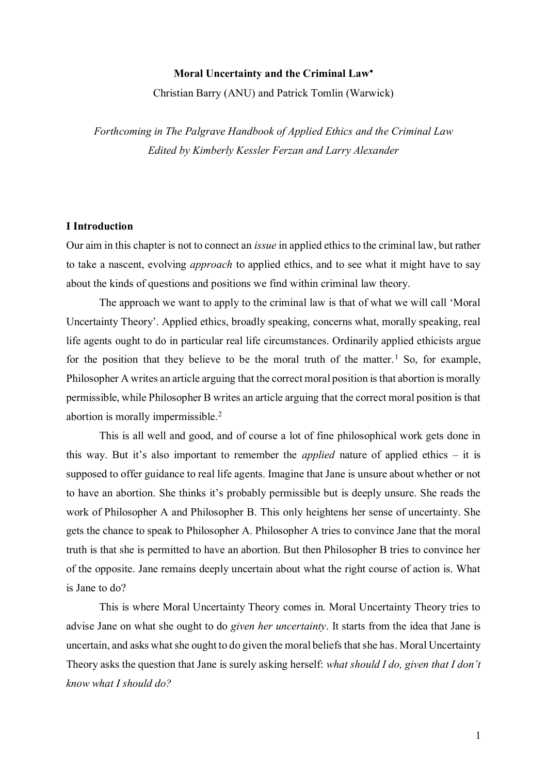## **Moral Uncertainty and the Criminal Law**

Christian Barry (ANU) and Patrick Tomlin (Warwick)

*Forthcoming in The Palgrave Handbook of Applied Ethics and the Criminal Law Edited by Kimberly Kessler Ferzan and Larry Alexander*

# **I Introduction**

Our aim in this chapter is not to connect an *issue* in applied ethics to the criminal law, but rather to take a nascent, evolving *approach* to applied ethics, and to see what it might have to say about the kinds of questions and positions we find within criminal law theory.

The approach we want to apply to the criminal law is that of what we will call 'Moral Uncertainty Theory'. Applied ethics, broadly speaking, concerns what, morally speaking, real life agents ought to do in particular real life circumstances. Ordinarily applied ethicists argue for the position that they believe to be the moral truth of the matter.<sup>1</sup> So, for example, Philosopher A writes an article arguing that the correct moral position is that abortion is morally permissible, while Philosopher B writes an article arguing that the correct moral position is that abortion is morally impermissible.<sup>2</sup>

This is all well and good, and of course a lot of fine philosophical work gets done in this way. But it's also important to remember the *applied* nature of applied ethics – it is supposed to offer guidance to real life agents. Imagine that Jane is unsure about whether or not to have an abortion. She thinks it's probably permissible but is deeply unsure. She reads the work of Philosopher A and Philosopher B. This only heightens her sense of uncertainty. She gets the chance to speak to Philosopher A. Philosopher A tries to convince Jane that the moral truth is that she is permitted to have an abortion. But then Philosopher B tries to convince her of the opposite. Jane remains deeply uncertain about what the right course of action is. What is Jane to do?

This is where Moral Uncertainty Theory comes in. Moral Uncertainty Theory tries to advise Jane on what she ought to do *given her uncertainty*. It starts from the idea that Jane is uncertain, and asks what she ought to do given the moral beliefs that she has. Moral Uncertainty Theory asks the question that Jane is surely asking herself: *what should I do, given that I don't know what I should do?*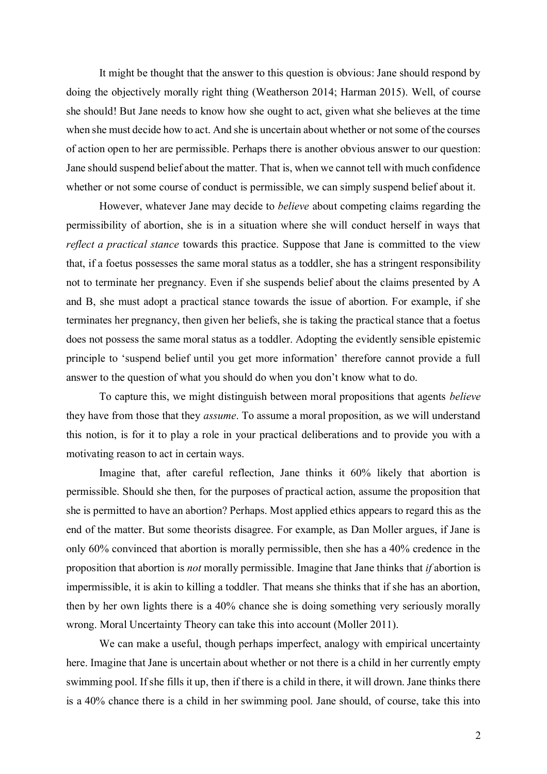It might be thought that the answer to this question is obvious: Jane should respond by doing the objectively morally right thing (Weatherson 2014; Harman 2015). Well, of course she should! But Jane needs to know how she ought to act, given what she believes at the time when she must decide how to act. And she is uncertain about whether or not some of the courses of action open to her are permissible. Perhaps there is another obvious answer to our question: Jane should suspend belief about the matter. That is, when we cannot tell with much confidence whether or not some course of conduct is permissible, we can simply suspend belief about it.

However, whatever Jane may decide to *believe* about competing claims regarding the permissibility of abortion, she is in a situation where she will conduct herself in ways that *reflect a practical stance* towards this practice. Suppose that Jane is committed to the view that, if a foetus possesses the same moral status as a toddler, she has a stringent responsibility not to terminate her pregnancy. Even if she suspends belief about the claims presented by A and B, she must adopt a practical stance towards the issue of abortion. For example, if she terminates her pregnancy, then given her beliefs, she is taking the practical stance that a foetus does not possess the same moral status as a toddler. Adopting the evidently sensible epistemic principle to 'suspend belief until you get more information' therefore cannot provide a full answer to the question of what you should do when you don't know what to do.

To capture this, we might distinguish between moral propositions that agents *believe* they have from those that they *assume*. To assume a moral proposition, as we will understand this notion, is for it to play a role in your practical deliberations and to provide you with a motivating reason to act in certain ways.

Imagine that, after careful reflection, Jane thinks it 60% likely that abortion is permissible. Should she then, for the purposes of practical action, assume the proposition that she is permitted to have an abortion? Perhaps. Most applied ethics appears to regard this as the end of the matter. But some theorists disagree. For example, as Dan Moller argues, if Jane is only 60% convinced that abortion is morally permissible, then she has a 40% credence in the proposition that abortion is *not* morally permissible. Imagine that Jane thinks that *if* abortion is impermissible, it is akin to killing a toddler. That means she thinks that if she has an abortion, then by her own lights there is a 40% chance she is doing something very seriously morally wrong. Moral Uncertainty Theory can take this into account (Moller 2011).

We can make a useful, though perhaps imperfect, analogy with empirical uncertainty here. Imagine that Jane is uncertain about whether or not there is a child in her currently empty swimming pool. If she fills it up, then if there is a child in there, it will drown. Jane thinks there is a 40% chance there is a child in her swimming pool. Jane should, of course, take this into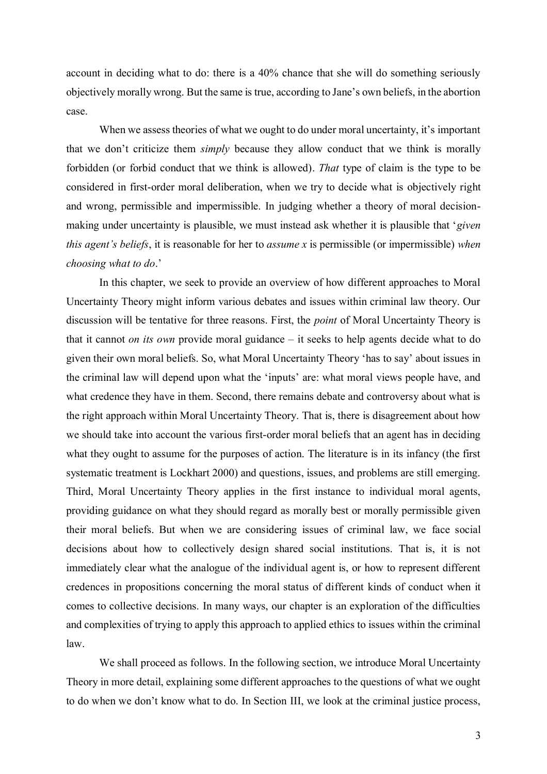account in deciding what to do: there is a 40% chance that she will do something seriously objectively morally wrong. But the same is true, according to Jane's own beliefs, in the abortion case.

When we assess theories of what we ought to do under moral uncertainty, it's important that we don't criticize them *simply* because they allow conduct that we think is morally forbidden (or forbid conduct that we think is allowed). *That* type of claim is the type to be considered in first-order moral deliberation, when we try to decide what is objectively right and wrong, permissible and impermissible. In judging whether a theory of moral decisionmaking under uncertainty is plausible, we must instead ask whether it is plausible that '*given this agent's beliefs*, it is reasonable for her to *assume x* is permissible (or impermissible) *when choosing what to do*.'

In this chapter, we seek to provide an overview of how different approaches to Moral Uncertainty Theory might inform various debates and issues within criminal law theory. Our discussion will be tentative for three reasons. First, the *point* of Moral Uncertainty Theory is that it cannot *on its own* provide moral guidance – it seeks to help agents decide what to do given their own moral beliefs. So, what Moral Uncertainty Theory 'has to say' about issues in the criminal law will depend upon what the 'inputs' are: what moral views people have, and what credence they have in them. Second, there remains debate and controversy about what is the right approach within Moral Uncertainty Theory. That is, there is disagreement about how we should take into account the various first-order moral beliefs that an agent has in deciding what they ought to assume for the purposes of action. The literature is in its infancy (the first systematic treatment is Lockhart 2000) and questions, issues, and problems are still emerging. Third, Moral Uncertainty Theory applies in the first instance to individual moral agents, providing guidance on what they should regard as morally best or morally permissible given their moral beliefs. But when we are considering issues of criminal law, we face social decisions about how to collectively design shared social institutions. That is, it is not immediately clear what the analogue of the individual agent is, or how to represent different credences in propositions concerning the moral status of different kinds of conduct when it comes to collective decisions. In many ways, our chapter is an exploration of the difficulties and complexities of trying to apply this approach to applied ethics to issues within the criminal law.

We shall proceed as follows. In the following section, we introduce Moral Uncertainty Theory in more detail, explaining some different approaches to the questions of what we ought to do when we don't know what to do. In Section III, we look at the criminal justice process,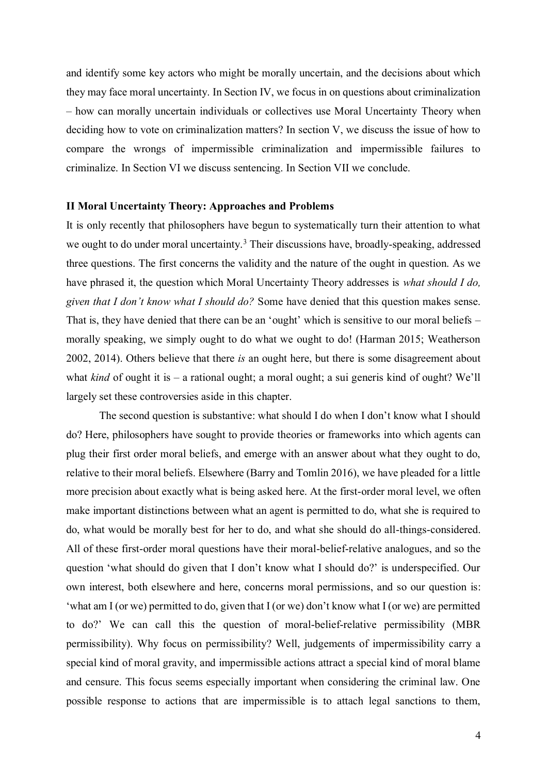and identify some key actors who might be morally uncertain, and the decisions about which they may face moral uncertainty. In Section IV, we focus in on questions about criminalization – how can morally uncertain individuals or collectives use Moral Uncertainty Theory when deciding how to vote on criminalization matters? In section V, we discuss the issue of how to compare the wrongs of impermissible criminalization and impermissible failures to criminalize. In Section VI we discuss sentencing. In Section VII we conclude.

# **II Moral Uncertainty Theory: Approaches and Problems**

It is only recently that philosophers have begun to systematically turn their attention to what we ought to do under moral uncertainty.<sup>3</sup> Their discussions have, broadly-speaking, addressed three questions. The first concerns the validity and the nature of the ought in question. As we have phrased it, the question which Moral Uncertainty Theory addresses is *what should I do, given that I don't know what I should do?* Some have denied that this question makes sense. That is, they have denied that there can be an 'ought' which is sensitive to our moral beliefs – morally speaking, we simply ought to do what we ought to do! (Harman 2015; Weatherson 2002, 2014). Others believe that there *is* an ought here, but there is some disagreement about what *kind* of ought it is – a rational ought; a moral ought; a sui generis kind of ought? We'll largely set these controversies aside in this chapter.

The second question is substantive: what should I do when I don't know what I should do? Here, philosophers have sought to provide theories or frameworks into which agents can plug their first order moral beliefs, and emerge with an answer about what they ought to do, relative to their moral beliefs. Elsewhere (Barry and Tomlin 2016), we have pleaded for a little more precision about exactly what is being asked here. At the first-order moral level, we often make important distinctions between what an agent is permitted to do, what she is required to do, what would be morally best for her to do, and what she should do all-things-considered. All of these first-order moral questions have their moral-belief-relative analogues, and so the question 'what should do given that I don't know what I should do?' is underspecified. Our own interest, both elsewhere and here, concerns moral permissions, and so our question is: 'what am I (or we) permitted to do, given that I (or we) don't know what I (or we) are permitted to do?' We can call this the question of moral-belief-relative permissibility (MBR permissibility). Why focus on permissibility? Well, judgements of impermissibility carry a special kind of moral gravity, and impermissible actions attract a special kind of moral blame and censure. This focus seems especially important when considering the criminal law. One possible response to actions that are impermissible is to attach legal sanctions to them,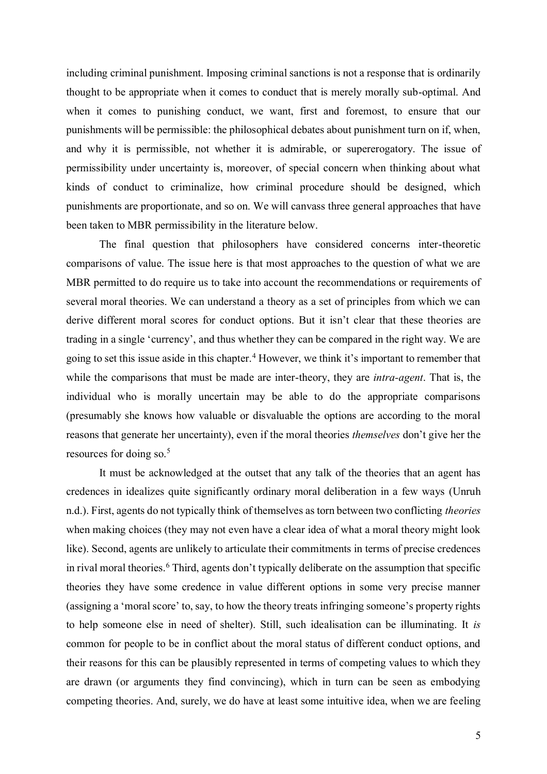including criminal punishment. Imposing criminal sanctions is not a response that is ordinarily thought to be appropriate when it comes to conduct that is merely morally sub-optimal. And when it comes to punishing conduct, we want, first and foremost, to ensure that our punishments will be permissible: the philosophical debates about punishment turn on if, when, and why it is permissible, not whether it is admirable, or supererogatory. The issue of permissibility under uncertainty is, moreover, of special concern when thinking about what kinds of conduct to criminalize, how criminal procedure should be designed, which punishments are proportionate, and so on. We will canvass three general approaches that have been taken to MBR permissibility in the literature below.

The final question that philosophers have considered concerns inter-theoretic comparisons of value. The issue here is that most approaches to the question of what we are MBR permitted to do require us to take into account the recommendations or requirements of several moral theories. We can understand a theory as a set of principles from which we can derive different moral scores for conduct options. But it isn't clear that these theories are trading in a single 'currency', and thus whether they can be compared in the right way. We are going to set this issue aside in this chapter.<sup>4</sup> However, we think it's important to remember that while the comparisons that must be made are inter-theory, they are *intra-agent*. That is, the individual who is morally uncertain may be able to do the appropriate comparisons (presumably she knows how valuable or disvaluable the options are according to the moral reasons that generate her uncertainty), even if the moral theories *themselves* don't give her the resources for doing so.<sup>5</sup>

It must be acknowledged at the outset that any talk of the theories that an agent has credences in idealizes quite significantly ordinary moral deliberation in a few ways (Unruh n.d.). First, agents do not typically think of themselves as torn between two conflicting *theories* when making choices (they may not even have a clear idea of what a moral theory might look like). Second, agents are unlikely to articulate their commitments in terms of precise credences in rival moral theories.<sup>6</sup> Third, agents don't typically deliberate on the assumption that specific theories they have some credence in value different options in some very precise manner (assigning a 'moral score' to, say, to how the theory treats infringing someone's property rights to help someone else in need of shelter). Still, such idealisation can be illuminating. It *is* common for people to be in conflict about the moral status of different conduct options, and their reasons for this can be plausibly represented in terms of competing values to which they are drawn (or arguments they find convincing), which in turn can be seen as embodying competing theories. And, surely, we do have at least some intuitive idea, when we are feeling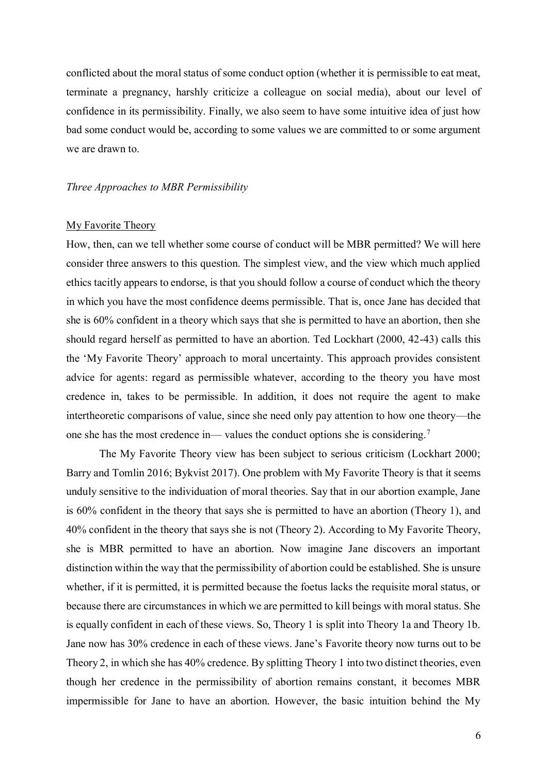conflicted about the moral status of some conduct option (whether it is permissible to eat meat, terminate a pregnancy, harshly criticize a colleague on social media), about our level of confidence in its permissibility. Finally, we also seem to have some intuitive idea of just how bad some conduct would be, according to some values we are committed to or some argument we are drawn to.

### *Three Approaches to MBR Permissibility*

## My Favorite Theory

How, then, can we tell whether some course of conduct will be MBR permitted? We will here consider three answers to this question. The simplest view, and the view which much applied ethics tacitly appears to endorse, is that you should follow a course of conduct which the theory in which you have the most confidence deems permissible. That is, once Jane has decided that she is 60% confident in a theory which says that she is permitted to have an abortion, then she should regard herself as permitted to have an abortion. Ted Lockhart (2000, 42-43) calls this the 'My Favorite Theory' approach to moral uncertainty. This approach provides consistent advice for agents: regard as permissible whatever, according to the theory you have most credence in, takes to be permissible. In addition, it does not require the agent to make intertheoretic comparisons of value, since she need only pay attention to how one theory—the one she has the most credence in— values the conduct options she is considering.<sup>7</sup>

The My Favorite Theory view has been subject to serious criticism (Lockhart 2000; Barry and Tomlin 2016; Bykvist 2017). One problem with My Favorite Theory is that it seems unduly sensitive to the individuation of moral theories. Say that in our abortion example, Jane is 60% confident in the theory that says she is permitted to have an abortion (Theory 1), and 40% confident in the theory that says she is not (Theory 2). According to My Favorite Theory, she is MBR permitted to have an abortion. Now imagine Jane discovers an important distinction within the way that the permissibility of abortion could be established. She is unsure whether, if it is permitted, it is permitted because the foetus lacks the requisite moral status, or because there are circumstances in which we are permitted to kill beings with moral status. She is equally confident in each of these views. So, Theory 1 is split into Theory 1a and Theory 1b. Jane now has 30% credence in each of these views. Jane's Favorite theory now turns out to be Theory 2, in which she has 40% credence. By splitting Theory 1 into two distinct theories, even though her credence in the permissibility of abortion remains constant, it becomes MBR impermissible for Jane to have an abortion. However, the basic intuition behind the My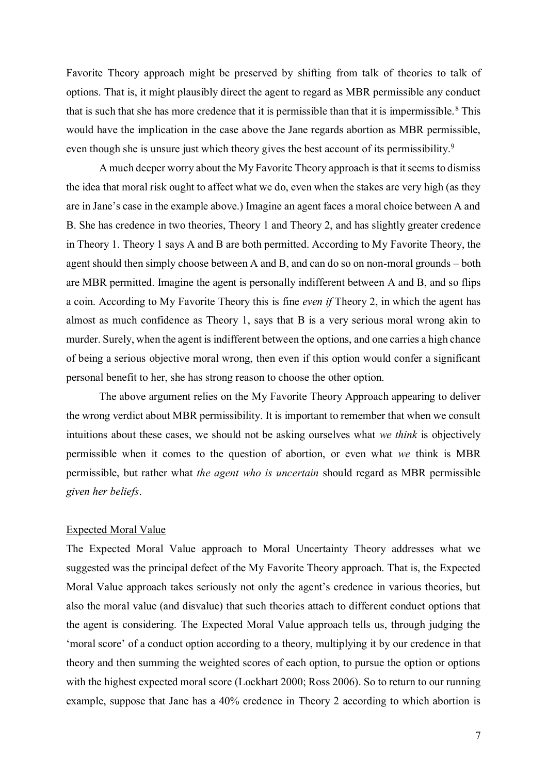Favorite Theory approach might be preserved by shifting from talk of theories to talk of options. That is, it might plausibly direct the agent to regard as MBR permissible any conduct that is such that she has more credence that it is permissible than that it is impermissible. $8$  This would have the implication in the case above the Jane regards abortion as MBR permissible, even though she is unsure just which theory gives the best account of its permissibility.<sup>9</sup>

A much deeper worry about the My Favorite Theory approach is that it seems to dismiss the idea that moral risk ought to affect what we do, even when the stakes are very high (as they are in Jane's case in the example above.) Imagine an agent faces a moral choice between A and B. She has credence in two theories, Theory 1 and Theory 2, and has slightly greater credence in Theory 1. Theory 1 says A and B are both permitted. According to My Favorite Theory, the agent should then simply choose between A and B, and can do so on non-moral grounds – both are MBR permitted. Imagine the agent is personally indifferent between A and B, and so flips a coin. According to My Favorite Theory this is fine *even if* Theory 2, in which the agent has almost as much confidence as Theory 1, says that B is a very serious moral wrong akin to murder. Surely, when the agent is indifferent between the options, and one carries a high chance of being a serious objective moral wrong, then even if this option would confer a significant personal benefit to her, she has strong reason to choose the other option.

The above argument relies on the My Favorite Theory Approach appearing to deliver the wrong verdict about MBR permissibility. It is important to remember that when we consult intuitions about these cases, we should not be asking ourselves what *we think* is objectively permissible when it comes to the question of abortion, or even what *we* think is MBR permissible, but rather what *the agent who is uncertain* should regard as MBR permissible *given her beliefs*.

# Expected Moral Value

The Expected Moral Value approach to Moral Uncertainty Theory addresses what we suggested was the principal defect of the My Favorite Theory approach. That is, the Expected Moral Value approach takes seriously not only the agent's credence in various theories, but also the moral value (and disvalue) that such theories attach to different conduct options that the agent is considering. The Expected Moral Value approach tells us, through judging the 'moral score' of a conduct option according to a theory, multiplying it by our credence in that theory and then summing the weighted scores of each option, to pursue the option or options with the highest expected moral score (Lockhart 2000; Ross 2006). So to return to our running example, suppose that Jane has a 40% credence in Theory 2 according to which abortion is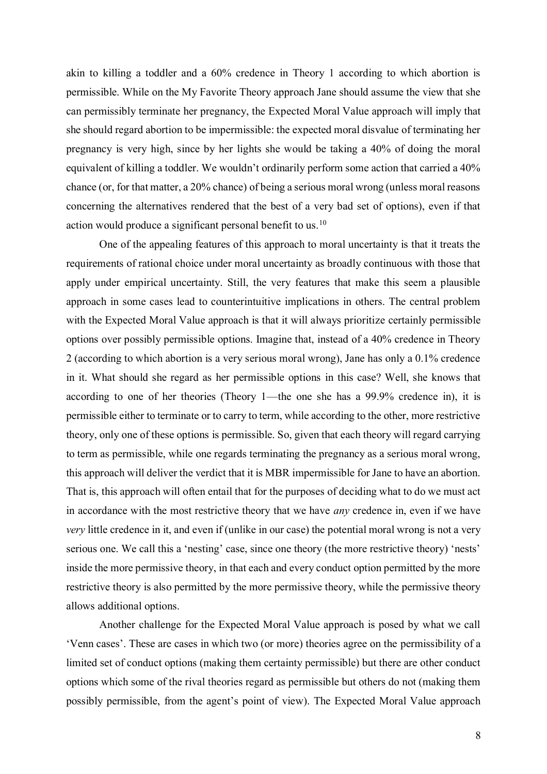akin to killing a toddler and a 60% credence in Theory 1 according to which abortion is permissible. While on the My Favorite Theory approach Jane should assume the view that she can permissibly terminate her pregnancy, the Expected Moral Value approach will imply that she should regard abortion to be impermissible: the expected moral disvalue of terminating her pregnancy is very high, since by her lights she would be taking a 40% of doing the moral equivalent of killing a toddler. We wouldn't ordinarily perform some action that carried a 40% chance (or, for that matter, a 20% chance) of being a serious moral wrong (unless moral reasons concerning the alternatives rendered that the best of a very bad set of options), even if that action would produce a significant personal benefit to us.<sup>10</sup>

One of the appealing features of this approach to moral uncertainty is that it treats the requirements of rational choice under moral uncertainty as broadly continuous with those that apply under empirical uncertainty. Still, the very features that make this seem a plausible approach in some cases lead to counterintuitive implications in others. The central problem with the Expected Moral Value approach is that it will always prioritize certainly permissible options over possibly permissible options. Imagine that, instead of a 40% credence in Theory 2 (according to which abortion is a very serious moral wrong), Jane has only a 0.1% credence in it. What should she regard as her permissible options in this case? Well, she knows that according to one of her theories (Theory 1—the one she has a 99.9% credence in), it is permissible either to terminate or to carry to term, while according to the other, more restrictive theory, only one of these options is permissible. So, given that each theory will regard carrying to term as permissible, while one regards terminating the pregnancy as a serious moral wrong, this approach will deliver the verdict that it is MBR impermissible for Jane to have an abortion. That is, this approach will often entail that for the purposes of deciding what to do we must act in accordance with the most restrictive theory that we have *any* credence in, even if we have *very* little credence in it, and even if (unlike in our case) the potential moral wrong is not a very serious one. We call this a 'nesting' case, since one theory (the more restrictive theory) 'nests' inside the more permissive theory, in that each and every conduct option permitted by the more restrictive theory is also permitted by the more permissive theory, while the permissive theory allows additional options.

Another challenge for the Expected Moral Value approach is posed by what we call 'Venn cases'. These are cases in which two (or more) theories agree on the permissibility of a limited set of conduct options (making them certainty permissible) but there are other conduct options which some of the rival theories regard as permissible but others do not (making them possibly permissible, from the agent's point of view). The Expected Moral Value approach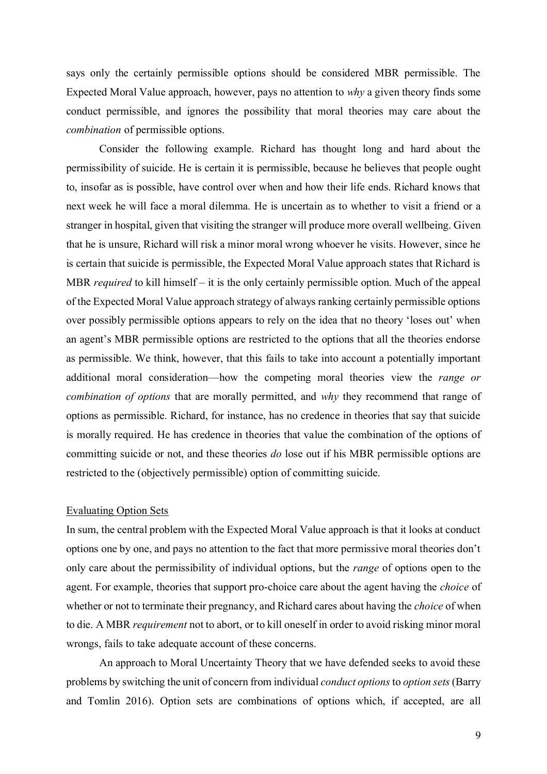says only the certainly permissible options should be considered MBR permissible. The Expected Moral Value approach, however, pays no attention to *why* a given theory finds some conduct permissible, and ignores the possibility that moral theories may care about the *combination* of permissible options.

Consider the following example. Richard has thought long and hard about the permissibility of suicide. He is certain it is permissible, because he believes that people ought to, insofar as is possible, have control over when and how their life ends. Richard knows that next week he will face a moral dilemma. He is uncertain as to whether to visit a friend or a stranger in hospital, given that visiting the stranger will produce more overall wellbeing. Given that he is unsure, Richard will risk a minor moral wrong whoever he visits. However, since he is certain that suicide is permissible, the Expected Moral Value approach states that Richard is MBR *required* to kill himself – it is the only certainly permissible option. Much of the appeal of the Expected Moral Value approach strategy of always ranking certainly permissible options over possibly permissible options appears to rely on the idea that no theory 'loses out' when an agent's MBR permissible options are restricted to the options that all the theories endorse as permissible. We think, however, that this fails to take into account a potentially important additional moral consideration—how the competing moral theories view the *range or combination of options* that are morally permitted, and *why* they recommend that range of options as permissible*.* Richard, for instance, has no credence in theories that say that suicide is morally required. He has credence in theories that value the combination of the options of committing suicide or not, and these theories *do* lose out if his MBR permissible options are restricted to the (objectively permissible) option of committing suicide.

## Evaluating Option Sets

In sum, the central problem with the Expected Moral Value approach is that it looks at conduct options one by one, and pays no attention to the fact that more permissive moral theories don't only care about the permissibility of individual options, but the *range* of options open to the agent. For example, theories that support pro-choice care about the agent having the *choice* of whether or not to terminate their pregnancy, and Richard cares about having the *choice* of when to die. A MBR *requirement* not to abort, or to kill oneself in order to avoid risking minor moral wrongs, fails to take adequate account of these concerns.

An approach to Moral Uncertainty Theory that we have defended seeks to avoid these problems by switching the unit of concern from individual *conduct options* to *option sets* (Barry and Tomlin 2016). Option sets are combinations of options which, if accepted, are all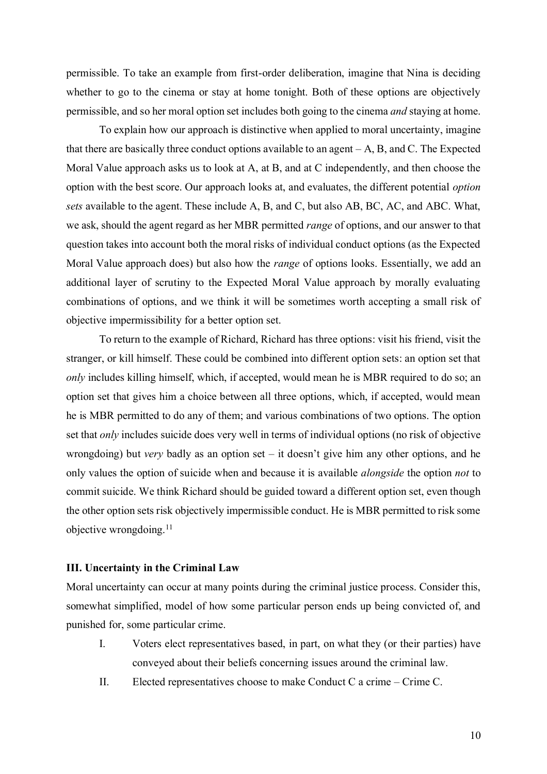permissible. To take an example from first-order deliberation, imagine that Nina is deciding whether to go to the cinema or stay at home tonight. Both of these options are objectively permissible, and so her moral option set includes both going to the cinema *and* staying at home.

To explain how our approach is distinctive when applied to moral uncertainty, imagine that there are basically three conduct options available to an agent – A, B, and C. The Expected Moral Value approach asks us to look at A, at B, and at C independently, and then choose the option with the best score. Our approach looks at, and evaluates, the different potential *option sets* available to the agent. These include A, B, and C, but also AB, BC, AC, and ABC. What, we ask, should the agent regard as her MBR permitted *range* of options, and our answer to that question takes into account both the moral risks of individual conduct options (as the Expected Moral Value approach does) but also how the *range* of options looks. Essentially, we add an additional layer of scrutiny to the Expected Moral Value approach by morally evaluating combinations of options, and we think it will be sometimes worth accepting a small risk of objective impermissibility for a better option set.

To return to the example of Richard, Richard has three options: visit his friend, visit the stranger, or kill himself. These could be combined into different option sets: an option set that *only* includes killing himself, which, if accepted, would mean he is MBR required to do so; an option set that gives him a choice between all three options, which, if accepted, would mean he is MBR permitted to do any of them; and various combinations of two options. The option set that *only* includes suicide does very well in terms of individual options (no risk of objective wrongdoing) but *very* badly as an option set – it doesn't give him any other options, and he only values the option of suicide when and because it is available *alongside* the option *not* to commit suicide. We think Richard should be guided toward a different option set, even though the other option sets risk objectively impermissible conduct. He is MBR permitted to risk some objective wrongdoing.<sup>11</sup>

# **III. Uncertainty in the Criminal Law**

Moral uncertainty can occur at many points during the criminal justice process. Consider this, somewhat simplified, model of how some particular person ends up being convicted of, and punished for, some particular crime.

- I. Voters elect representatives based, in part, on what they (or their parties) have conveyed about their beliefs concerning issues around the criminal law.
- II. Elected representatives choose to make Conduct C a crime Crime C.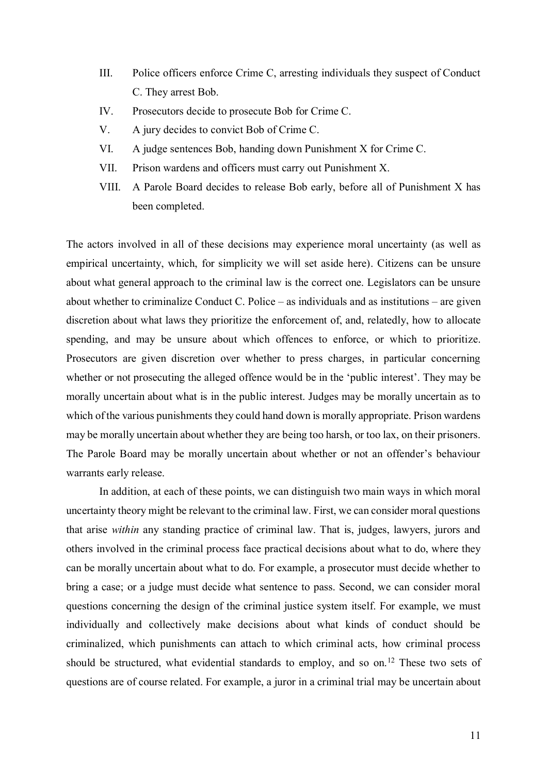- III. Police officers enforce Crime C, arresting individuals they suspect of Conduct C. They arrest Bob.
- IV. Prosecutors decide to prosecute Bob for Crime C.
- V. A jury decides to convict Bob of Crime C.
- VI. A judge sentences Bob, handing down Punishment X for Crime C.
- VII. Prison wardens and officers must carry out Punishment X.
- VIII. A Parole Board decides to release Bob early, before all of Punishment X has been completed.

The actors involved in all of these decisions may experience moral uncertainty (as well as empirical uncertainty, which, for simplicity we will set aside here). Citizens can be unsure about what general approach to the criminal law is the correct one. Legislators can be unsure about whether to criminalize Conduct C. Police – as individuals and as institutions – are given discretion about what laws they prioritize the enforcement of, and, relatedly, how to allocate spending, and may be unsure about which offences to enforce, or which to prioritize. Prosecutors are given discretion over whether to press charges, in particular concerning whether or not prosecuting the alleged offence would be in the 'public interest'. They may be morally uncertain about what is in the public interest. Judges may be morally uncertain as to which of the various punishments they could hand down is morally appropriate. Prison wardens may be morally uncertain about whether they are being too harsh, or too lax, on their prisoners. The Parole Board may be morally uncertain about whether or not an offender's behaviour warrants early release.

In addition, at each of these points, we can distinguish two main ways in which moral uncertainty theory might be relevant to the criminal law. First, we can consider moral questions that arise *within* any standing practice of criminal law. That is, judges, lawyers, jurors and others involved in the criminal process face practical decisions about what to do, where they can be morally uncertain about what to do. For example, a prosecutor must decide whether to bring a case; or a judge must decide what sentence to pass. Second, we can consider moral questions concerning the design of the criminal justice system itself. For example, we must individually and collectively make decisions about what kinds of conduct should be criminalized, which punishments can attach to which criminal acts, how criminal process should be structured, what evidential standards to employ, and so on.<sup>12</sup> These two sets of questions are of course related. For example, a juror in a criminal trial may be uncertain about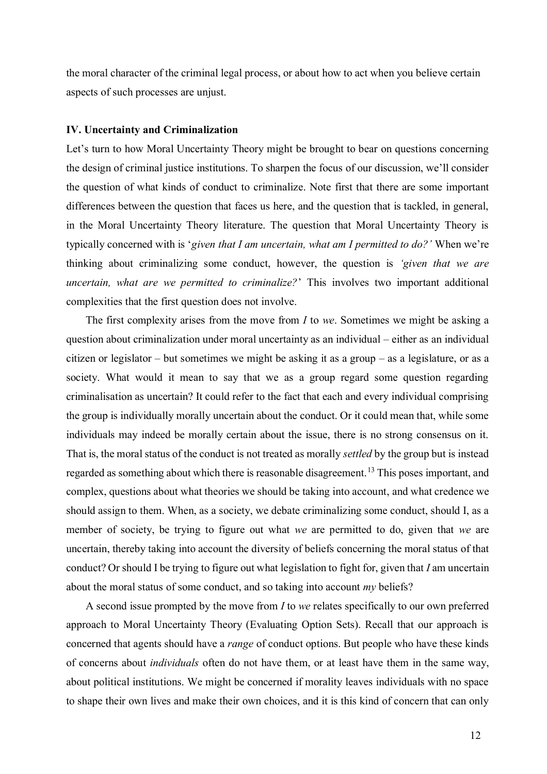the moral character of the criminal legal process, or about how to act when you believe certain aspects of such processes are unjust.

## **IV. Uncertainty and Criminalization**

Let's turn to how Moral Uncertainty Theory might be brought to bear on questions concerning the design of criminal justice institutions. To sharpen the focus of our discussion, we'll consider the question of what kinds of conduct to criminalize. Note first that there are some important differences between the question that faces us here, and the question that is tackled, in general, in the Moral Uncertainty Theory literature. The question that Moral Uncertainty Theory is typically concerned with is '*given that I am uncertain, what am I permitted to do?'* When we're thinking about criminalizing some conduct, however, the question is *'given that we are uncertain, what are we permitted to criminalize?*' This involves two important additional complexities that the first question does not involve.

The first complexity arises from the move from *I* to *we*. Sometimes we might be asking a question about criminalization under moral uncertainty as an individual – either as an individual citizen or legislator – but sometimes we might be asking it as a group – as a legislature, or as a society. What would it mean to say that we as a group regard some question regarding criminalisation as uncertain? It could refer to the fact that each and every individual comprising the group is individually morally uncertain about the conduct. Or it could mean that, while some individuals may indeed be morally certain about the issue, there is no strong consensus on it. That is, the moral status of the conduct is not treated as morally *settled* by the group but is instead regarded as something about which there is reasonable disagreement.<sup>13</sup> This poses important, and complex, questions about what theories we should be taking into account, and what credence we should assign to them. When, as a society, we debate criminalizing some conduct, should I, as a member of society, be trying to figure out what *we* are permitted to do, given that *we* are uncertain, thereby taking into account the diversity of beliefs concerning the moral status of that conduct? Or should I be trying to figure out what legislation to fight for, given that *I* am uncertain about the moral status of some conduct, and so taking into account *my* beliefs?

A second issue prompted by the move from *I* to *we* relates specifically to our own preferred approach to Moral Uncertainty Theory (Evaluating Option Sets). Recall that our approach is concerned that agents should have a *range* of conduct options. But people who have these kinds of concerns about *individuals* often do not have them, or at least have them in the same way, about political institutions. We might be concerned if morality leaves individuals with no space to shape their own lives and make their own choices, and it is this kind of concern that can only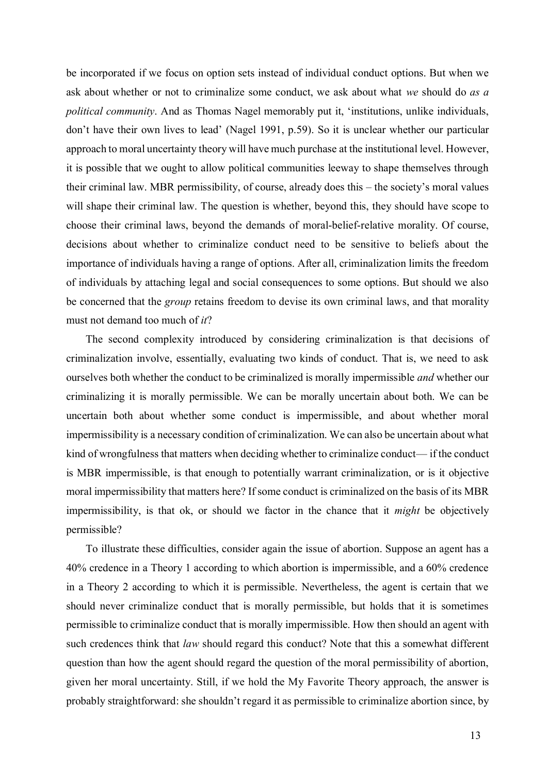be incorporated if we focus on option sets instead of individual conduct options. But when we ask about whether or not to criminalize some conduct, we ask about what *we* should do *as a political community*. And as Thomas Nagel memorably put it, 'institutions, unlike individuals, don't have their own lives to lead' (Nagel 1991, p.59). So it is unclear whether our particular approach to moral uncertainty theory will have much purchase at the institutional level. However, it is possible that we ought to allow political communities leeway to shape themselves through their criminal law. MBR permissibility, of course, already does this – the society's moral values will shape their criminal law. The question is whether, beyond this, they should have scope to choose their criminal laws, beyond the demands of moral-belief-relative morality. Of course, decisions about whether to criminalize conduct need to be sensitive to beliefs about the importance of individuals having a range of options. After all, criminalization limits the freedom of individuals by attaching legal and social consequences to some options. But should we also be concerned that the *group* retains freedom to devise its own criminal laws, and that morality must not demand too much of *it*?

The second complexity introduced by considering criminalization is that decisions of criminalization involve, essentially, evaluating two kinds of conduct. That is, we need to ask ourselves both whether the conduct to be criminalized is morally impermissible *and* whether our criminalizing it is morally permissible. We can be morally uncertain about both. We can be uncertain both about whether some conduct is impermissible, and about whether moral impermissibility is a necessary condition of criminalization. We can also be uncertain about what kind of wrongfulness that matters when deciding whether to criminalize conduct— if the conduct is MBR impermissible, is that enough to potentially warrant criminalization, or is it objective moral impermissibility that matters here? If some conduct is criminalized on the basis of its MBR impermissibility, is that ok, or should we factor in the chance that it *might* be objectively permissible?

To illustrate these difficulties, consider again the issue of abortion. Suppose an agent has a 40% credence in a Theory 1 according to which abortion is impermissible, and a 60% credence in a Theory 2 according to which it is permissible. Nevertheless, the agent is certain that we should never criminalize conduct that is morally permissible, but holds that it is sometimes permissible to criminalize conduct that is morally impermissible. How then should an agent with such credences think that *law* should regard this conduct? Note that this a somewhat different question than how the agent should regard the question of the moral permissibility of abortion, given her moral uncertainty. Still, if we hold the My Favorite Theory approach, the answer is probably straightforward: she shouldn't regard it as permissible to criminalize abortion since, by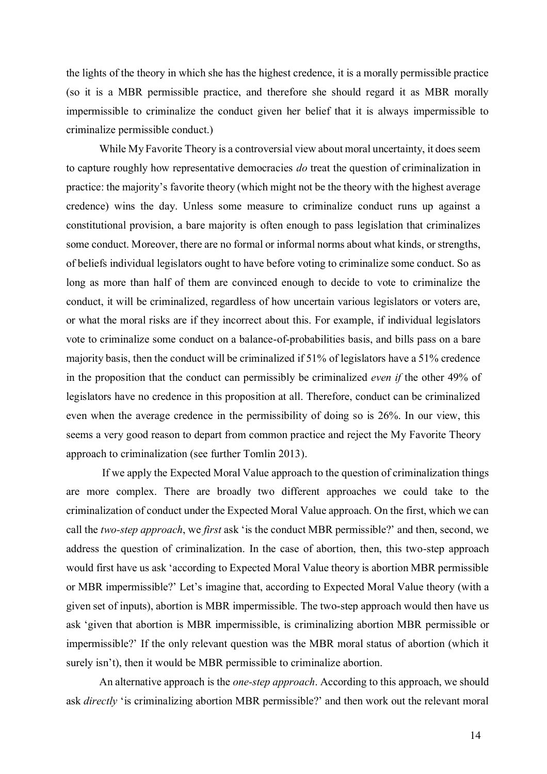the lights of the theory in which she has the highest credence, it is a morally permissible practice (so it is a MBR permissible practice, and therefore she should regard it as MBR morally impermissible to criminalize the conduct given her belief that it is always impermissible to criminalize permissible conduct.)

While My Favorite Theory is a controversial view about moral uncertainty, it does seem to capture roughly how representative democracies *do* treat the question of criminalization in practice: the majority's favorite theory (which might not be the theory with the highest average credence) wins the day. Unless some measure to criminalize conduct runs up against a constitutional provision, a bare majority is often enough to pass legislation that criminalizes some conduct. Moreover, there are no formal or informal norms about what kinds, or strengths, of beliefs individual legislators ought to have before voting to criminalize some conduct. So as long as more than half of them are convinced enough to decide to vote to criminalize the conduct, it will be criminalized, regardless of how uncertain various legislators or voters are, or what the moral risks are if they incorrect about this. For example, if individual legislators vote to criminalize some conduct on a balance-of-probabilities basis, and bills pass on a bare majority basis, then the conduct will be criminalized if 51% of legislators have a 51% credence in the proposition that the conduct can permissibly be criminalized *even if* the other 49% of legislators have no credence in this proposition at all. Therefore, conduct can be criminalized even when the average credence in the permissibility of doing so is 26%. In our view, this seems a very good reason to depart from common practice and reject the My Favorite Theory approach to criminalization (see further Tomlin 2013).

If we apply the Expected Moral Value approach to the question of criminalization things are more complex. There are broadly two different approaches we could take to the criminalization of conduct under the Expected Moral Value approach. On the first, which we can call the *two-step approach*, we *first* ask 'is the conduct MBR permissible?' and then, second, we address the question of criminalization. In the case of abortion, then, this two-step approach would first have us ask 'according to Expected Moral Value theory is abortion MBR permissible or MBR impermissible?' Let's imagine that, according to Expected Moral Value theory (with a given set of inputs), abortion is MBR impermissible. The two-step approach would then have us ask 'given that abortion is MBR impermissible, is criminalizing abortion MBR permissible or impermissible?' If the only relevant question was the MBR moral status of abortion (which it surely isn't), then it would be MBR permissible to criminalize abortion.

An alternative approach is the *one-step approach*. According to this approach, we should ask *directly* 'is criminalizing abortion MBR permissible?' and then work out the relevant moral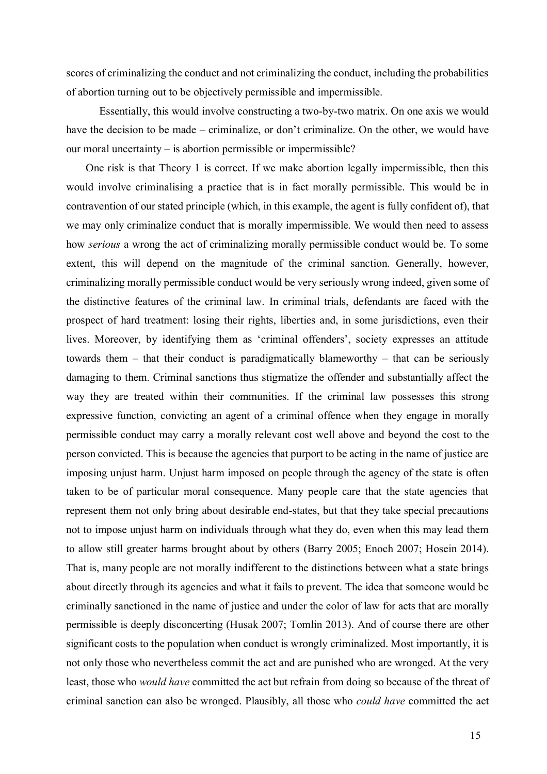scores of criminalizing the conduct and not criminalizing the conduct, including the probabilities of abortion turning out to be objectively permissible and impermissible.

Essentially, this would involve constructing a two-by-two matrix. On one axis we would have the decision to be made – criminalize, or don't criminalize. On the other, we would have our moral uncertainty – is abortion permissible or impermissible?

One risk is that Theory 1 is correct. If we make abortion legally impermissible, then this would involve criminalising a practice that is in fact morally permissible. This would be in contravention of our stated principle (which, in this example, the agent is fully confident of), that we may only criminalize conduct that is morally impermissible. We would then need to assess how *serious* a wrong the act of criminalizing morally permissible conduct would be. To some extent, this will depend on the magnitude of the criminal sanction. Generally, however, criminalizing morally permissible conduct would be very seriously wrong indeed, given some of the distinctive features of the criminal law. In criminal trials, defendants are faced with the prospect of hard treatment: losing their rights, liberties and, in some jurisdictions, even their lives. Moreover, by identifying them as 'criminal offenders', society expresses an attitude towards them – that their conduct is paradigmatically blameworthy – that can be seriously damaging to them. Criminal sanctions thus stigmatize the offender and substantially affect the way they are treated within their communities. If the criminal law possesses this strong expressive function, convicting an agent of a criminal offence when they engage in morally permissible conduct may carry a morally relevant cost well above and beyond the cost to the person convicted. This is because the agencies that purport to be acting in the name of justice are imposing unjust harm. Unjust harm imposed on people through the agency of the state is often taken to be of particular moral consequence. Many people care that the state agencies that represent them not only bring about desirable end-states, but that they take special precautions not to impose unjust harm on individuals through what they do, even when this may lead them to allow still greater harms brought about by others (Barry 2005; Enoch 2007; Hosein 2014). That is, many people are not morally indifferent to the distinctions between what a state brings about directly through its agencies and what it fails to prevent. The idea that someone would be criminally sanctioned in the name of justice and under the color of law for acts that are morally permissible is deeply disconcerting (Husak 2007; Tomlin 2013). And of course there are other significant costs to the population when conduct is wrongly criminalized. Most importantly, it is not only those who nevertheless commit the act and are punished who are wronged. At the very least, those who *would have* committed the act but refrain from doing so because of the threat of criminal sanction can also be wronged. Plausibly, all those who *could have* committed the act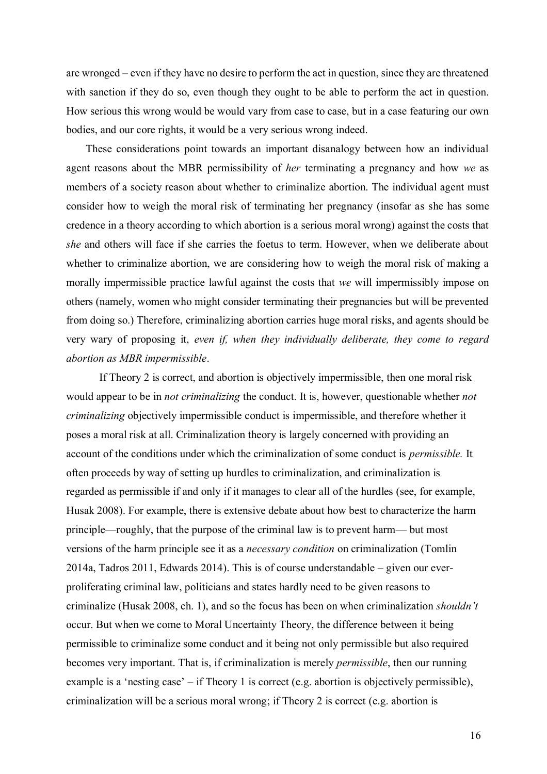are wronged – even if they have no desire to perform the act in question, since they are threatened with sanction if they do so, even though they ought to be able to perform the act in question. How serious this wrong would be would vary from case to case, but in a case featuring our own bodies, and our core rights, it would be a very serious wrong indeed.

These considerations point towards an important disanalogy between how an individual agent reasons about the MBR permissibility of *her* terminating a pregnancy and how *we* as members of a society reason about whether to criminalize abortion. The individual agent must consider how to weigh the moral risk of terminating her pregnancy (insofar as she has some credence in a theory according to which abortion is a serious moral wrong) against the costs that *she* and others will face if she carries the foetus to term. However, when we deliberate about whether to criminalize abortion, we are considering how to weigh the moral risk of making a morally impermissible practice lawful against the costs that *we* will impermissibly impose on others (namely, women who might consider terminating their pregnancies but will be prevented from doing so.) Therefore, criminalizing abortion carries huge moral risks, and agents should be very wary of proposing it, *even if, when they individually deliberate, they come to regard abortion as MBR impermissible*.

If Theory 2 is correct, and abortion is objectively impermissible, then one moral risk would appear to be in *not criminalizing* the conduct. It is, however, questionable whether *not criminalizing* objectively impermissible conduct is impermissible, and therefore whether it poses a moral risk at all. Criminalization theory is largely concerned with providing an account of the conditions under which the criminalization of some conduct is *permissible.* It often proceeds by way of setting up hurdles to criminalization, and criminalization is regarded as permissible if and only if it manages to clear all of the hurdles (see, for example, Husak 2008). For example, there is extensive debate about how best to characterize the harm principle—roughly, that the purpose of the criminal law is to prevent harm— but most versions of the harm principle see it as a *necessary condition* on criminalization (Tomlin 2014a, Tadros 2011, Edwards 2014). This is of course understandable – given our everproliferating criminal law, politicians and states hardly need to be given reasons to criminalize (Husak 2008, ch. 1), and so the focus has been on when criminalization *shouldn't*  occur. But when we come to Moral Uncertainty Theory, the difference between it being permissible to criminalize some conduct and it being not only permissible but also required becomes very important. That is, if criminalization is merely *permissible*, then our running example is a 'nesting case' – if Theory 1 is correct (e.g. abortion is objectively permissible), criminalization will be a serious moral wrong; if Theory 2 is correct (e.g. abortion is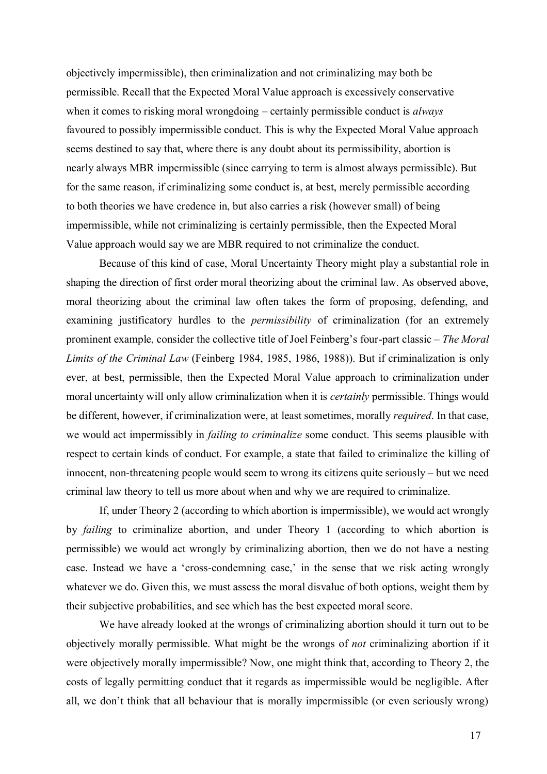objectively impermissible), then criminalization and not criminalizing may both be permissible. Recall that the Expected Moral Value approach is excessively conservative when it comes to risking moral wrongdoing – certainly permissible conduct is *always* favoured to possibly impermissible conduct. This is why the Expected Moral Value approach seems destined to say that, where there is any doubt about its permissibility, abortion is nearly always MBR impermissible (since carrying to term is almost always permissible). But for the same reason, if criminalizing some conduct is, at best, merely permissible according to both theories we have credence in, but also carries a risk (however small) of being impermissible, while not criminalizing is certainly permissible, then the Expected Moral Value approach would say we are MBR required to not criminalize the conduct.

Because of this kind of case, Moral Uncertainty Theory might play a substantial role in shaping the direction of first order moral theorizing about the criminal law. As observed above, moral theorizing about the criminal law often takes the form of proposing, defending, and examining justificatory hurdles to the *permissibility* of criminalization (for an extremely prominent example, consider the collective title of Joel Feinberg's four-part classic – *The Moral Limits of the Criminal Law* (Feinberg 1984, 1985, 1986, 1988)). But if criminalization is only ever, at best, permissible, then the Expected Moral Value approach to criminalization under moral uncertainty will only allow criminalization when it is *certainly* permissible. Things would be different, however, if criminalization were, at least sometimes, morally *required*. In that case, we would act impermissibly in *failing to criminalize* some conduct. This seems plausible with respect to certain kinds of conduct. For example, a state that failed to criminalize the killing of innocent, non-threatening people would seem to wrong its citizens quite seriously – but we need criminal law theory to tell us more about when and why we are required to criminalize.

If, under Theory 2 (according to which abortion is impermissible), we would act wrongly by *failing* to criminalize abortion, and under Theory 1 (according to which abortion is permissible) we would act wrongly by criminalizing abortion, then we do not have a nesting case. Instead we have a 'cross-condemning case,' in the sense that we risk acting wrongly whatever we do. Given this, we must assess the moral disvalue of both options, weight them by their subjective probabilities, and see which has the best expected moral score.

We have already looked at the wrongs of criminalizing abortion should it turn out to be objectively morally permissible. What might be the wrongs of *not* criminalizing abortion if it were objectively morally impermissible? Now, one might think that, according to Theory 2, the costs of legally permitting conduct that it regards as impermissible would be negligible. After all, we don't think that all behaviour that is morally impermissible (or even seriously wrong)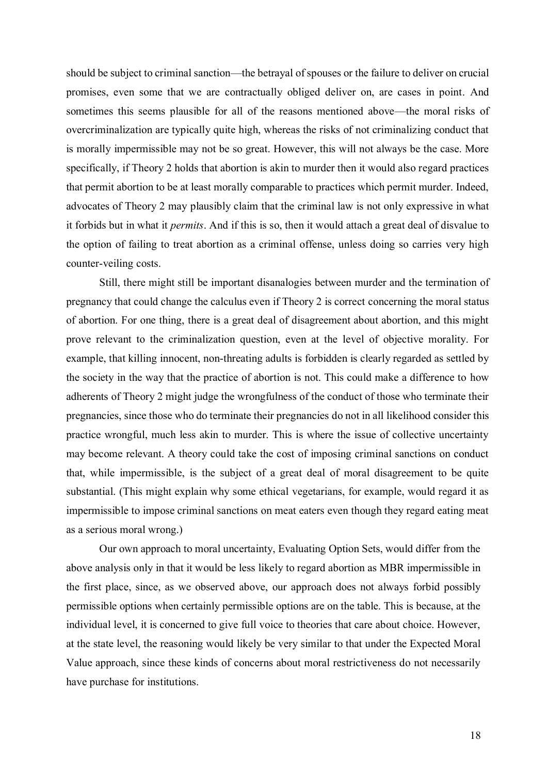should be subject to criminal sanction—the betrayal of spouses or the failure to deliver on crucial promises, even some that we are contractually obliged deliver on, are cases in point. And sometimes this seems plausible for all of the reasons mentioned above—the moral risks of overcriminalization are typically quite high, whereas the risks of not criminalizing conduct that is morally impermissible may not be so great. However, this will not always be the case. More specifically, if Theory 2 holds that abortion is akin to murder then it would also regard practices that permit abortion to be at least morally comparable to practices which permit murder. Indeed, advocates of Theory 2 may plausibly claim that the criminal law is not only expressive in what it forbids but in what it *permits*. And if this is so, then it would attach a great deal of disvalue to the option of failing to treat abortion as a criminal offense, unless doing so carries very high counter-veiling costs.

Still, there might still be important disanalogies between murder and the termination of pregnancy that could change the calculus even if Theory 2 is correct concerning the moral status of abortion. For one thing, there is a great deal of disagreement about abortion, and this might prove relevant to the criminalization question, even at the level of objective morality. For example, that killing innocent, non-threating adults is forbidden is clearly regarded as settled by the society in the way that the practice of abortion is not. This could make a difference to how adherents of Theory 2 might judge the wrongfulness of the conduct of those who terminate their pregnancies, since those who do terminate their pregnancies do not in all likelihood consider this practice wrongful, much less akin to murder. This is where the issue of collective uncertainty may become relevant. A theory could take the cost of imposing criminal sanctions on conduct that, while impermissible, is the subject of a great deal of moral disagreement to be quite substantial. (This might explain why some ethical vegetarians, for example, would regard it as impermissible to impose criminal sanctions on meat eaters even though they regard eating meat as a serious moral wrong.)

Our own approach to moral uncertainty, Evaluating Option Sets, would differ from the above analysis only in that it would be less likely to regard abortion as MBR impermissible in the first place, since, as we observed above, our approach does not always forbid possibly permissible options when certainly permissible options are on the table. This is because, at the individual level, it is concerned to give full voice to theories that care about choice. However, at the state level, the reasoning would likely be very similar to that under the Expected Moral Value approach, since these kinds of concerns about moral restrictiveness do not necessarily have purchase for institutions.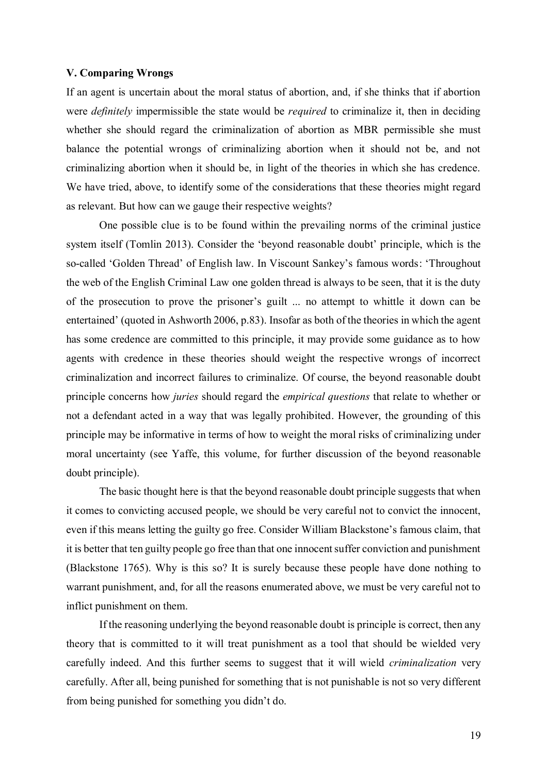## **V. Comparing Wrongs**

If an agent is uncertain about the moral status of abortion, and, if she thinks that if abortion were *definitely* impermissible the state would be *required* to criminalize it, then in deciding whether she should regard the criminalization of abortion as MBR permissible she must balance the potential wrongs of criminalizing abortion when it should not be, and not criminalizing abortion when it should be, in light of the theories in which she has credence. We have tried, above, to identify some of the considerations that these theories might regard as relevant. But how can we gauge their respective weights?

One possible clue is to be found within the prevailing norms of the criminal justice system itself (Tomlin 2013). Consider the 'beyond reasonable doubt' principle, which is the so-called 'Golden Thread' of English law. In Viscount Sankey's famous words: 'Throughout the web of the English Criminal Law one golden thread is always to be seen, that it is the duty of the prosecution to prove the prisoner's guilt ... no attempt to whittle it down can be entertained' (quoted in Ashworth 2006, p.83). Insofar as both of the theories in which the agent has some credence are committed to this principle, it may provide some guidance as to how agents with credence in these theories should weight the respective wrongs of incorrect criminalization and incorrect failures to criminalize. Of course, the beyond reasonable doubt principle concerns how *juries* should regard the *empirical questions* that relate to whether or not a defendant acted in a way that was legally prohibited. However, the grounding of this principle may be informative in terms of how to weight the moral risks of criminalizing under moral uncertainty (see Yaffe, this volume, for further discussion of the beyond reasonable doubt principle).

The basic thought here is that the beyond reasonable doubt principle suggests that when it comes to convicting accused people, we should be very careful not to convict the innocent, even if this means letting the guilty go free. Consider William Blackstone's famous claim, that it is better that ten guilty people go free than that one innocent suffer conviction and punishment (Blackstone 1765). Why is this so? It is surely because these people have done nothing to warrant punishment, and, for all the reasons enumerated above, we must be very careful not to inflict punishment on them.

If the reasoning underlying the beyond reasonable doubt is principle is correct, then any theory that is committed to it will treat punishment as a tool that should be wielded very carefully indeed. And this further seems to suggest that it will wield *criminalization* very carefully. After all, being punished for something that is not punishable is not so very different from being punished for something you didn't do.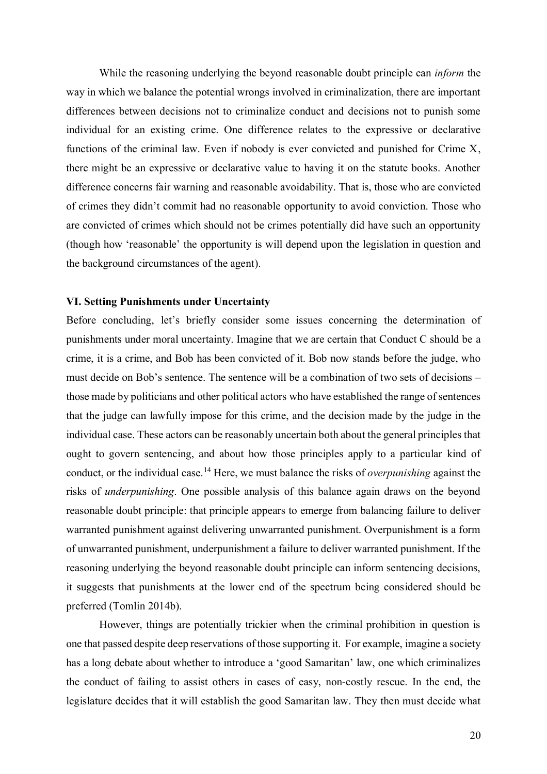While the reasoning underlying the beyond reasonable doubt principle can *inform* the way in which we balance the potential wrongs involved in criminalization, there are important differences between decisions not to criminalize conduct and decisions not to punish some individual for an existing crime. One difference relates to the expressive or declarative functions of the criminal law. Even if nobody is ever convicted and punished for Crime X, there might be an expressive or declarative value to having it on the statute books. Another difference concerns fair warning and reasonable avoidability. That is, those who are convicted of crimes they didn't commit had no reasonable opportunity to avoid conviction. Those who are convicted of crimes which should not be crimes potentially did have such an opportunity (though how 'reasonable' the opportunity is will depend upon the legislation in question and the background circumstances of the agent).

# **VI. Setting Punishments under Uncertainty**

Before concluding, let's briefly consider some issues concerning the determination of punishments under moral uncertainty. Imagine that we are certain that Conduct C should be a crime, it is a crime, and Bob has been convicted of it. Bob now stands before the judge, who must decide on Bob's sentence. The sentence will be a combination of two sets of decisions – those made by politicians and other political actors who have established the range of sentences that the judge can lawfully impose for this crime, and the decision made by the judge in the individual case. These actors can be reasonably uncertain both about the general principles that ought to govern sentencing, and about how those principles apply to a particular kind of conduct, or the individual case.<sup>14</sup> Here, we must balance the risks of *overpunishing* against the risks of *underpunishing*. One possible analysis of this balance again draws on the beyond reasonable doubt principle: that principle appears to emerge from balancing failure to deliver warranted punishment against delivering unwarranted punishment. Overpunishment is a form of unwarranted punishment, underpunishment a failure to deliver warranted punishment. If the reasoning underlying the beyond reasonable doubt principle can inform sentencing decisions, it suggests that punishments at the lower end of the spectrum being considered should be preferred (Tomlin 2014b).

However, things are potentially trickier when the criminal prohibition in question is one that passed despite deep reservations of those supporting it. For example, imagine a society has a long debate about whether to introduce a 'good Samaritan' law, one which criminalizes the conduct of failing to assist others in cases of easy, non-costly rescue. In the end, the legislature decides that it will establish the good Samaritan law. They then must decide what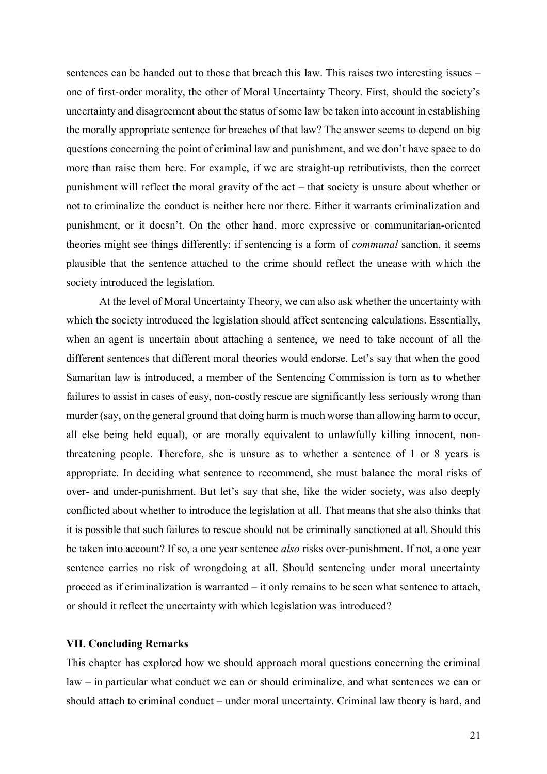sentences can be handed out to those that breach this law. This raises two interesting issues – one of first-order morality, the other of Moral Uncertainty Theory. First, should the society's uncertainty and disagreement about the status of some law be taken into account in establishing the morally appropriate sentence for breaches of that law? The answer seems to depend on big questions concerning the point of criminal law and punishment, and we don't have space to do more than raise them here. For example, if we are straight-up retributivists, then the correct punishment will reflect the moral gravity of the act – that society is unsure about whether or not to criminalize the conduct is neither here nor there. Either it warrants criminalization and punishment, or it doesn't. On the other hand, more expressive or communitarian-oriented theories might see things differently: if sentencing is a form of *communal* sanction, it seems plausible that the sentence attached to the crime should reflect the unease with which the society introduced the legislation.

At the level of Moral Uncertainty Theory, we can also ask whether the uncertainty with which the society introduced the legislation should affect sentencing calculations. Essentially, when an agent is uncertain about attaching a sentence, we need to take account of all the different sentences that different moral theories would endorse. Let's say that when the good Samaritan law is introduced, a member of the Sentencing Commission is torn as to whether failures to assist in cases of easy, non-costly rescue are significantly less seriously wrong than murder (say, on the general ground that doing harm is much worse than allowing harm to occur, all else being held equal), or are morally equivalent to unlawfully killing innocent, nonthreatening people. Therefore, she is unsure as to whether a sentence of 1 or 8 years is appropriate. In deciding what sentence to recommend, she must balance the moral risks of over- and under-punishment. But let's say that she, like the wider society, was also deeply conflicted about whether to introduce the legislation at all. That means that she also thinks that it is possible that such failures to rescue should not be criminally sanctioned at all. Should this be taken into account? If so, a one year sentence *also* risks over-punishment. If not, a one year sentence carries no risk of wrongdoing at all. Should sentencing under moral uncertainty proceed as if criminalization is warranted – it only remains to be seen what sentence to attach, or should it reflect the uncertainty with which legislation was introduced?

# **VII. Concluding Remarks**

This chapter has explored how we should approach moral questions concerning the criminal law – in particular what conduct we can or should criminalize, and what sentences we can or should attach to criminal conduct – under moral uncertainty. Criminal law theory is hard, and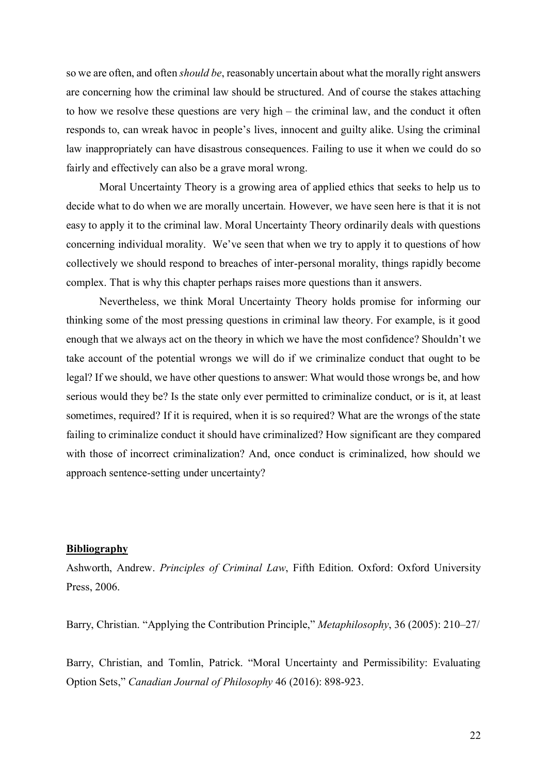so we are often, and often *should be*, reasonably uncertain about what the morally right answers are concerning how the criminal law should be structured. And of course the stakes attaching to how we resolve these questions are very high – the criminal law, and the conduct it often responds to, can wreak havoc in people's lives, innocent and guilty alike. Using the criminal law inappropriately can have disastrous consequences. Failing to use it when we could do so fairly and effectively can also be a grave moral wrong.

Moral Uncertainty Theory is a growing area of applied ethics that seeks to help us to decide what to do when we are morally uncertain. However, we have seen here is that it is not easy to apply it to the criminal law. Moral Uncertainty Theory ordinarily deals with questions concerning individual morality. We've seen that when we try to apply it to questions of how collectively we should respond to breaches of inter-personal morality, things rapidly become complex. That is why this chapter perhaps raises more questions than it answers.

Nevertheless, we think Moral Uncertainty Theory holds promise for informing our thinking some of the most pressing questions in criminal law theory. For example, is it good enough that we always act on the theory in which we have the most confidence? Shouldn't we take account of the potential wrongs we will do if we criminalize conduct that ought to be legal? If we should, we have other questions to answer: What would those wrongs be, and how serious would they be? Is the state only ever permitted to criminalize conduct, or is it, at least sometimes, required? If it is required, when it is so required? What are the wrongs of the state failing to criminalize conduct it should have criminalized? How significant are they compared with those of incorrect criminalization? And, once conduct is criminalized, how should we approach sentence-setting under uncertainty?

# **Bibliography**

Ashworth, Andrew. *Principles of Criminal Law*, Fifth Edition. Oxford: Oxford University Press, 2006.

Barry, Christian. "Applying the Contribution Principle," *Metaphilosophy*, 36 (2005): 210–27/

Barry, Christian, and Tomlin, Patrick. "Moral Uncertainty and Permissibility: Evaluating Option Sets," *Canadian Journal of Philosophy* 46 (2016): 898-923.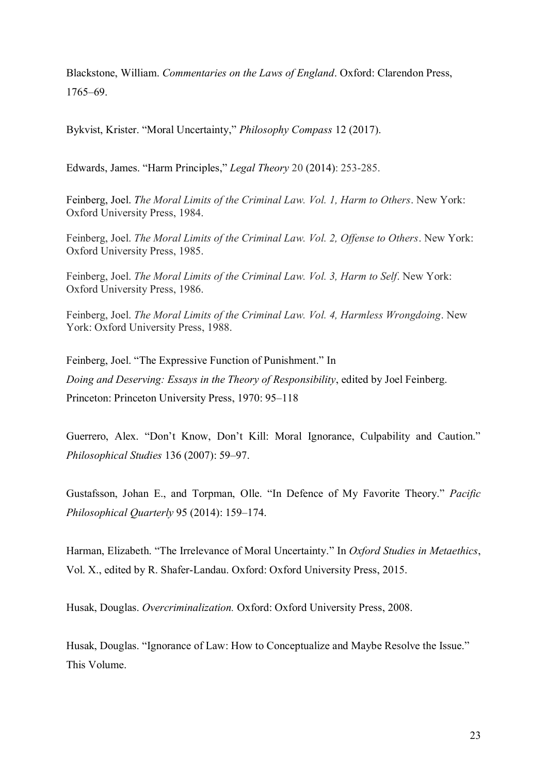Blackstone, William. *Commentaries on the Laws of England*. Oxford: Clarendon Press, 1765–69.

Bykvist, Krister. "Moral Uncertainty," *Philosophy Compass* 12 (2017).

Edwards, James. "Harm Principles," *Legal Theory* 20 (2014): 253-285.

Feinberg, Joel. *The Moral Limits of the Criminal Law. Vol. 1, Harm to Others*. New York: Oxford University Press, 1984.

Feinberg, Joel. *The Moral Limits of the Criminal Law. Vol. 2, Offense to Others*. New York: Oxford University Press, 1985.

Feinberg, Joel. *The Moral Limits of the Criminal Law. Vol. 3, Harm to Self*. New York: Oxford University Press, 1986.

Feinberg, Joel. *The Moral Limits of the Criminal Law. Vol. 4, Harmless Wrongdoing*. New York: Oxford University Press, 1988.

Feinberg, Joel. "The Expressive Function of Punishment." In *Doing and Deserving: Essays in the Theory of Responsibility*, edited by Joel Feinberg. Princeton: Princeton University Press, 1970: 95–118

Guerrero, Alex. "Don't Know, Don't Kill: Moral Ignorance, Culpability and Caution." *Philosophical Studies* 136 (2007): 59–97.

Gustafsson, Johan E., and Torpman, Olle. "In Defence of My Favorite Theory." *Pacific Philosophical Quarterly* 95 (2014): 159–174.

Harman, Elizabeth. "The Irrelevance of Moral Uncertainty." In *Oxford Studies in Metaethics*, Vol. X., edited by R. Shafer-Landau. Oxford: Oxford University Press, 2015.

Husak, Douglas. *Overcriminalization.* Oxford: Oxford University Press, 2008.

Husak, Douglas. "Ignorance of Law: How to Conceptualize and Maybe Resolve the Issue." This Volume.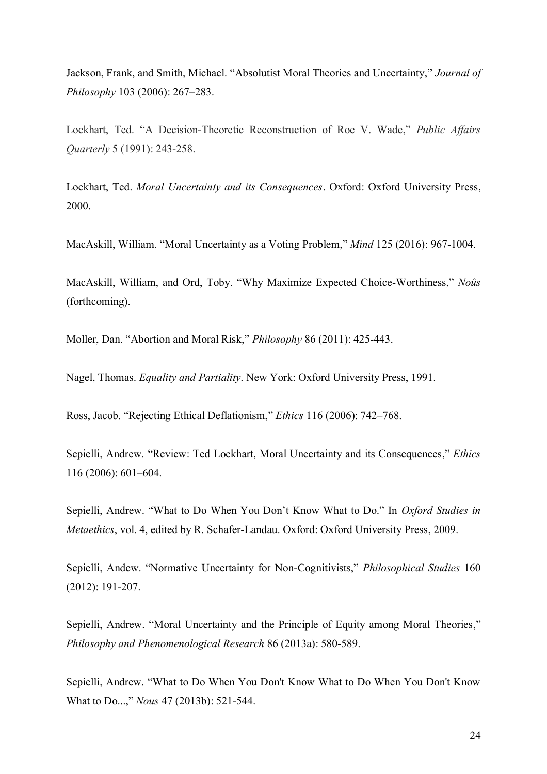Jackson, Frank, and Smith, Michael. "Absolutist Moral Theories and Uncertainty," *Journal of Philosophy* 103 (2006): 267–283.

Lockhart, Ted. "A Decision-Theoretic Reconstruction of Roe V. Wade," *Public Affairs Quarterly* 5 (1991): 243-258.

Lockhart, Ted. *Moral Uncertainty and its Consequences*. Oxford: Oxford University Press, 2000.

MacAskill, William. "Moral Uncertainty as a Voting Problem," *Mind* 125 (2016): 967-1004.

MacAskill, William, and Ord, Toby. "Why Maximize Expected Choice-Worthiness," *Noûs* (forthcoming).

Moller, Dan. "Abortion and Moral Risk," *Philosophy* 86 (2011): 425-443.

Nagel, Thomas. *Equality and Partiality*. New York: Oxford University Press, 1991.

Ross, Jacob. "Rejecting Ethical Deflationism," *Ethics* 116 (2006): 742–768.

Sepielli, Andrew. "Review: Ted Lockhart, Moral Uncertainty and its Consequences," *Ethics*  116 (2006): 601–604.

Sepielli, Andrew. "What to Do When You Don't Know What to Do." In *Oxford Studies in Metaethics*, vol. 4, edited by R. Schafer-Landau. Oxford: Oxford University Press, 2009.

Sepielli, Andew. "Normative Uncertainty for Non-Cognitivists," *Philosophical Studies* 160 (2012): 191-207.

Sepielli, Andrew. "Moral Uncertainty and the Principle of Equity among Moral Theories," *Philosophy and Phenomenological Research* 86 (2013a): 580-589.

Sepielli, Andrew. "What to Do When You Don't Know What to Do When You Don't Know What to Do...," *Nous* 47 (2013b): 521-544.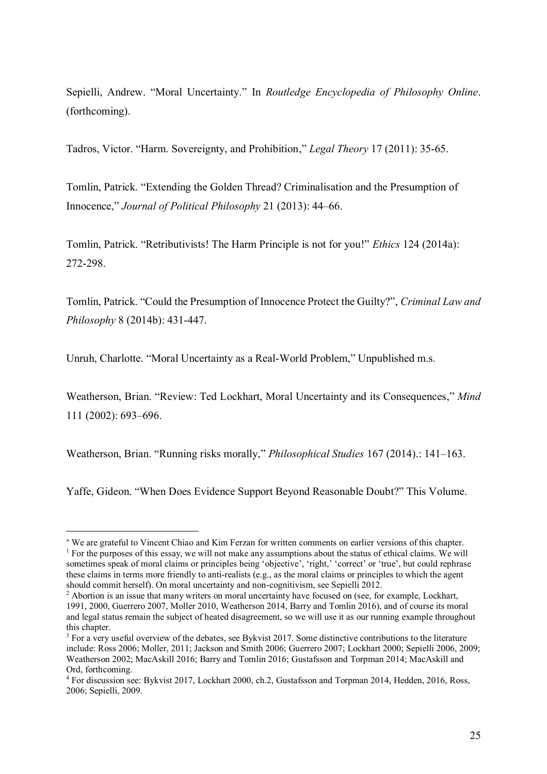Sepielli, Andrew. "Moral Uncertainty." In *Routledge Encyclopedia of Philosophy Online*. (forthcoming).

Tadros, Victor. "Harm. Sovereignty, and Prohibition," *Legal Theory* 17 (2011): 35-65.

Tomlin, Patrick. "Extending the Golden Thread? Criminalisation and the Presumption of Innocence," *Journal of Political Philosophy* 21 (2013): 44–66.

Tomlin, Patrick. "Retributivists! The Harm Principle is not for you!" *Ethics* 124 (2014a): 272-298.

Tomlin, Patrick. "Could the Presumption of Innocence Protect the Guilty?", *Criminal Law and Philosophy* 8 (2014b): 431-447.

Unruh, Charlotte. "Moral Uncertainty as a Real-World Problem," Unpublished m.s.

Weatherson, Brian. "Review: Ted Lockhart, Moral Uncertainty and its Consequences," *Mind* 111 (2002): 693–696.

Weatherson, Brian. "Running risks morally," *Philosophical Studies* 167 (2014).: 141–163.

Yaffe, Gideon. "When Does Evidence Support Beyond Reasonable Doubt?" This Volume.

l

We are grateful to Vincent Chiao and Kim Ferzan for written comments on earlier versions of this chapter. <sup>1</sup> For the purposes of this essay, we will not make any assumptions about the status of ethical claims. We will sometimes speak of moral claims or principles being 'objective', 'right,' 'correct' or 'true', but could rephrase these claims in terms more friendly to anti-realists (e.g., as the moral claims or principles to which the agent should commit herself). On moral uncertainty and non-cognitivism, see Sepielli 2012.

<sup>&</sup>lt;sup>2</sup> Abortion is an issue that many writers on moral uncertainty have focused on (see, for example, Lockhart, 1991, 2000, Guerrero 2007, Moller 2010, Weatherson 2014, Barry and Tomlin 2016), and of course its moral and legal status remain the subject of heated disagreement, so we will use it as our running example throughout this chapter.

<sup>&</sup>lt;sup>3</sup> For a very useful overview of the debates, see Bykvist 2017. Some distinctive contributions to the literature include: Ross 2006; Moller, 2011; Jackson and Smith 2006; Guerrero 2007; Lockhart 2000; Sepielli 2006, 2009; Weatherson 2002; MacAskill 2016; Barry and Tomlin 2016; Gustafsson and Torpman 2014; MacAskill and Ord, forthcoming.

<sup>4</sup> For discussion see: Bykvist 2017, Lockhart 2000, ch.2, Gustafsson and Torpman 2014, Hedden, 2016, Ross, 2006; Sepielli, 2009.